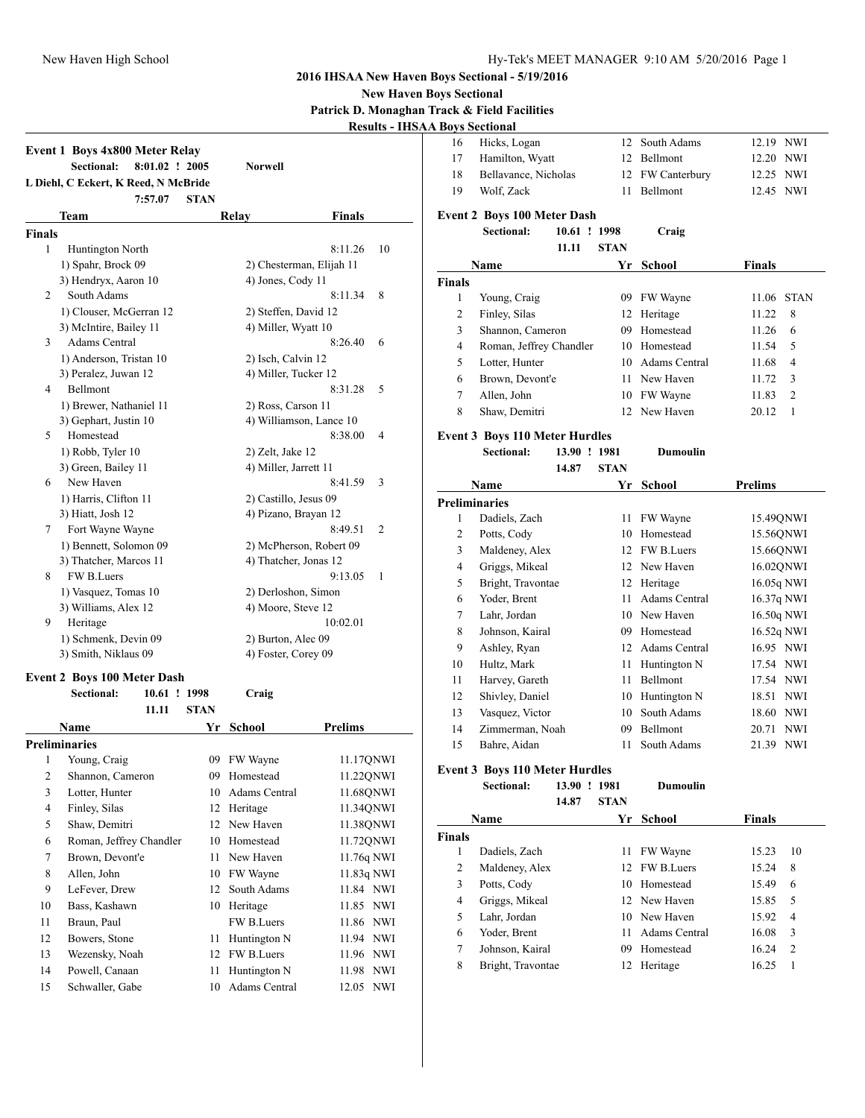**New Haven Boys Sectional**

**Patrick D. Monaghan Track & Field Facilities A Boys Sectional** 

|                | <b>Event 1 Boys 4x800 Meter Relay</b><br>Sectional:<br>L Diehl, C Eckert, K Reed, N McBride | 8:01.02 ! 2005<br>7:57.07 | <b>STAN</b> | <b>Norwell</b>        |                          |    |
|----------------|---------------------------------------------------------------------------------------------|---------------------------|-------------|-----------------------|--------------------------|----|
|                | Team                                                                                        |                           |             | Relay                 | <b>Finals</b>            |    |
| <b>Finals</b>  |                                                                                             |                           |             |                       |                          |    |
| 1              | Huntington North                                                                            |                           |             |                       | 8:11.26                  | 10 |
|                | 1) Spahr, Brock 09                                                                          |                           |             |                       | 2) Chesterman, Elijah 11 |    |
|                | 3) Hendryx, Aaron 10                                                                        |                           |             | 4) Jones, Cody 11     |                          |    |
| 2              | South Adams                                                                                 |                           |             |                       | 8<br>8:11.34             |    |
|                | 1) Clouser, McGerran 12                                                                     |                           |             | 2) Steffen, David 12  |                          |    |
|                | 3) McIntire, Bailey 11                                                                      |                           |             | 4) Miller, Wyatt 10   |                          |    |
| 3              | <b>Adams Central</b>                                                                        |                           |             |                       | 8:26.40<br>6             |    |
|                | 1) Anderson, Tristan 10                                                                     |                           |             | 2) Isch, Calvin 12    |                          |    |
|                | 3) Peralez, Juwan 12                                                                        |                           |             | 4) Miller, Tucker 12  |                          |    |
| 4              | Bellmont                                                                                    |                           |             |                       | 8:31.28<br>5             |    |
|                | 1) Brewer, Nathaniel 11                                                                     |                           |             | 2) Ross, Carson 11    |                          |    |
|                | 3) Gephart, Justin 10                                                                       |                           |             |                       | 4) Williamson, Lance 10  |    |
| 5              | Homestead                                                                                   |                           |             |                       | 8:38.00<br>4             |    |
|                | 1) Robb, Tyler 10                                                                           |                           |             | 2) Zelt, Jake 12      |                          |    |
|                | 3) Green, Bailey 11                                                                         |                           |             | 4) Miller, Jarrett 11 |                          |    |
| 6              | New Haven                                                                                   |                           |             |                       | 8:41.59<br>3             |    |
|                | 1) Harris, Clifton 11                                                                       |                           |             | 2) Castillo, Jesus 09 |                          |    |
|                | 3) Hiatt, Josh 12                                                                           |                           |             | 4) Pizano, Brayan 12  |                          |    |
| $\tau$         | Fort Wayne Wayne                                                                            |                           |             |                       | 8:49.51<br>2             |    |
|                | 1) Bennett, Solomon 09                                                                      |                           |             |                       | 2) McPherson, Robert 09  |    |
|                | 3) Thatcher, Marcos 11                                                                      |                           |             | 4) Thatcher, Jonas 12 |                          |    |
| 8              | FW B.Luers                                                                                  |                           |             |                       | 9:13.05<br>1             |    |
|                | 1) Vasquez, Tomas 10                                                                        |                           |             | 2) Derloshon, Simon   |                          |    |
|                | 3) Williams, Alex 12                                                                        |                           |             | 4) Moore, Steve 12    |                          |    |
| 9              | Heritage                                                                                    |                           |             |                       | 10:02.01                 |    |
|                | 1) Schmenk, Devin 09                                                                        |                           |             | 2) Burton, Alec 09    |                          |    |
|                | 3) Smith, Niklaus 09                                                                        |                           |             | 4) Foster, Corey 09   |                          |    |
|                |                                                                                             |                           |             |                       |                          |    |
|                | <b>Event 2 Boys 100 Meter Dash</b><br>Sectional:                                            | 10.61 ! 1998              |             |                       |                          |    |
|                |                                                                                             | 11.11                     | <b>STAN</b> | Craig                 |                          |    |
|                |                                                                                             |                           |             |                       |                          |    |
|                | <b>Name</b><br><b>Preliminaries</b>                                                         |                           | Yr.         | <b>School</b>         | <b>Prelims</b>           |    |
| $\,1$          | Young, Craig                                                                                |                           |             | FW Wayne              | 11.17QNWI                |    |
|                |                                                                                             |                           | 09          |                       |                          |    |
| $\mathfrak{2}$ | Shannon, Cameron                                                                            |                           | 09          | Homestead             | 11.22QNWI                |    |
| 3              | Lotter, Hunter                                                                              |                           | 10          | Adams Central         | 11.68QNWI                |    |
| 4              | Finley, Silas                                                                               |                           | 12          | Heritage              | 11.34QNWI                |    |
| 5              | Shaw, Demitri                                                                               |                           |             | 12 New Haven          | 11.38QNWI                |    |
| 6              | Roman, Jeffrey Chandler                                                                     |                           |             | 10 Homestead          | 11.72QNWI                |    |
| 7              | Brown, Devont'e                                                                             |                           | 11          | New Haven             | 11.76q NWI               |    |
| 8              | Allen, John                                                                                 |                           |             | 10 FW Wayne           | 11.83q NWI               |    |
| 9              | LeFever, Drew                                                                               |                           |             | 12 South Adams        | 11.84 NWI                |    |
|                | Bass, Kashawn                                                                               |                           |             | 10 Heritage           | 11.85 NWI                |    |
| 10             |                                                                                             |                           |             | FW B.Luers            | 11.86 NWI                |    |
| 11             | Braun, Paul                                                                                 |                           |             |                       | 11.94 NWI                |    |
| 12             | Bowers, Stone                                                                               |                           | 11          | Huntington N          |                          |    |
| 13             | Wezensky, Noah                                                                              |                           |             | 12 FW B.Luers         | 11.96 NWI                |    |
| 14             | Powell, Canaan                                                                              |                           | 11          | Huntington N          | 11.98 NWI                |    |

| 16                   | Hicks, Logan                                     |                       | 12          | South Adams      | 12.19 NWI      |                |
|----------------------|--------------------------------------------------|-----------------------|-------------|------------------|----------------|----------------|
| 17                   | Hamilton, Wyatt                                  |                       |             | 12 Bellmont      | 12.20 NWI      |                |
| 18                   | Bellavance, Nicholas                             |                       |             | 12 FW Canterbury | 12.25 NWI      |                |
| 19                   | Wolf, Zack                                       |                       | 11          | Bellmont         | 12.45 NWI      |                |
|                      |                                                  |                       |             |                  |                |                |
|                      | <b>Event 2 Boys 100 Meter Dash</b><br>Sectional: |                       |             |                  |                |                |
|                      |                                                  | 10.61 ! 1998<br>11.11 | <b>STAN</b> | Craig            |                |                |
|                      |                                                  |                       |             |                  |                |                |
|                      | Name                                             |                       | Yr          | <b>School</b>    | <b>Finals</b>  |                |
| <b>Finals</b>        |                                                  |                       |             |                  |                |                |
| 1                    | Young, Craig                                     |                       |             | 09 FW Wayne      | 11.06 STAN     |                |
| 2                    | Finley, Silas                                    |                       |             | 12 Heritage      | 11.22          | 8              |
| 3                    | Shannon, Cameron                                 |                       |             | 09 Homestead     | 11.26          | 6              |
| 4                    | Roman, Jeffrey Chandler                          |                       |             | 10 Homestead     | 11.54          | 5              |
| 5                    | Lotter, Hunter                                   |                       |             | 10 Adams Central | 11.68          | 4              |
| 6                    | Brown, Devont'e                                  |                       | 11 -        | New Haven        | 11.72          | 3              |
| 7                    | Allen, John                                      |                       |             | 10 FW Wayne      | 11.83          | $\overline{c}$ |
| 8                    | Shaw, Demitri                                    |                       | 12          | New Haven        | 20.12          | 1              |
|                      | <b>Event 3 Boys 110 Meter Hurdles</b>            |                       |             |                  |                |                |
|                      | Sectional:                                       | 13.90 ! 1981          |             | <b>Dumoulin</b>  |                |                |
|                      |                                                  | 14.87                 | <b>STAN</b> |                  |                |                |
|                      | Name                                             |                       | Yr          | <b>School</b>    | <b>Prelims</b> |                |
| <b>Preliminaries</b> |                                                  |                       |             |                  |                |                |
| 1                    | Dadiels, Zach                                    |                       | 11 -        | FW Wayne         | 15.49QNWI      |                |
| 2                    | Potts, Cody                                      |                       |             | 10 Homestead     | 15.56QNWI      |                |
| 3                    | Maldeney, Alex                                   |                       |             | 12 FW B.Luers    | 15.66QNWI      |                |
| 4                    | Griggs, Mikeal                                   |                       |             | 12 New Haven     | 16.02QNWI      |                |
| 5                    | Bright, Travontae                                |                       |             | 12 Heritage      | 16.05q NWI     |                |
| 6                    | Yoder, Brent                                     |                       | 11 -        | Adams Central    | 16.37q NWI     |                |
| 7                    | Lahr, Jordan                                     |                       |             | 10 New Haven     | 16.50q NWI     |                |
| 8                    | Johnson, Kairal                                  |                       |             | 09 Homestead     | 16.52q NWI     |                |
| 9                    | Ashley, Ryan                                     |                       |             | 12 Adams Central | 16.95 NWI      |                |
| 10                   | Hultz, Mark                                      |                       |             | 11 Huntington N  | 17.54 NWI      |                |
| 11                   | Harvey, Gareth                                   |                       |             | 11 Bellmont      | 17.54 NWI      |                |
| 12                   | Shivley, Daniel                                  |                       |             | 10 Huntington N  | 18.51 NWI      |                |
| 13                   | Vasquez, Victor                                  |                       |             | 10 South Adams   | 18.60 NWI      |                |
| 14                   | Zimmerman, Noah                                  |                       | 09          | <b>Bellmont</b>  | 20.71 NWI      |                |
| 15                   | Bahre, Aidan                                     |                       | 11          | South Adams      | 21.39 NWI      |                |
|                      | <b>Event 3 Boys 110 Meter Hurdles</b>            |                       |             |                  |                |                |
|                      | Sectional:                                       | 13.90 ! 1981          |             | Dumoulin         |                |                |
|                      |                                                  | 14.87                 | STAN        |                  |                |                |
|                      | Name                                             |                       | Yr          | School           | <b>Finals</b>  |                |
| <b>Finals</b>        |                                                  |                       |             |                  |                |                |
| 1                    | Dadiels, Zach                                    |                       | 11          | FW Wayne         | 15.23          | 10             |
| 2                    | Maldeney, Alex                                   |                       | 12          | FW B.Luers       | 15.24          | 8              |
| 3                    | Potts, Cody                                      |                       |             | 10 Homestead     | 15.49          | 6              |
| 4                    | Griggs, Mikeal                                   |                       |             | 12 New Haven     | 15.85          | 5              |
| 5                    | Lahr, Jordan                                     |                       |             | 10 New Haven     | 15.92          | 4              |
| 6                    | Yoder, Brent                                     |                       | 11 -        | Adams Central    | 16.08          | 3              |
| 7                    | Johnson, Kairal                                  |                       | 09          | Homestead        | 16.24          | 2              |
| 8                    | Bright, Travontae                                |                       |             | 12 Heritage      | 16.25          | 1              |
|                      |                                                  |                       |             |                  |                |                |
|                      |                                                  |                       |             |                  |                |                |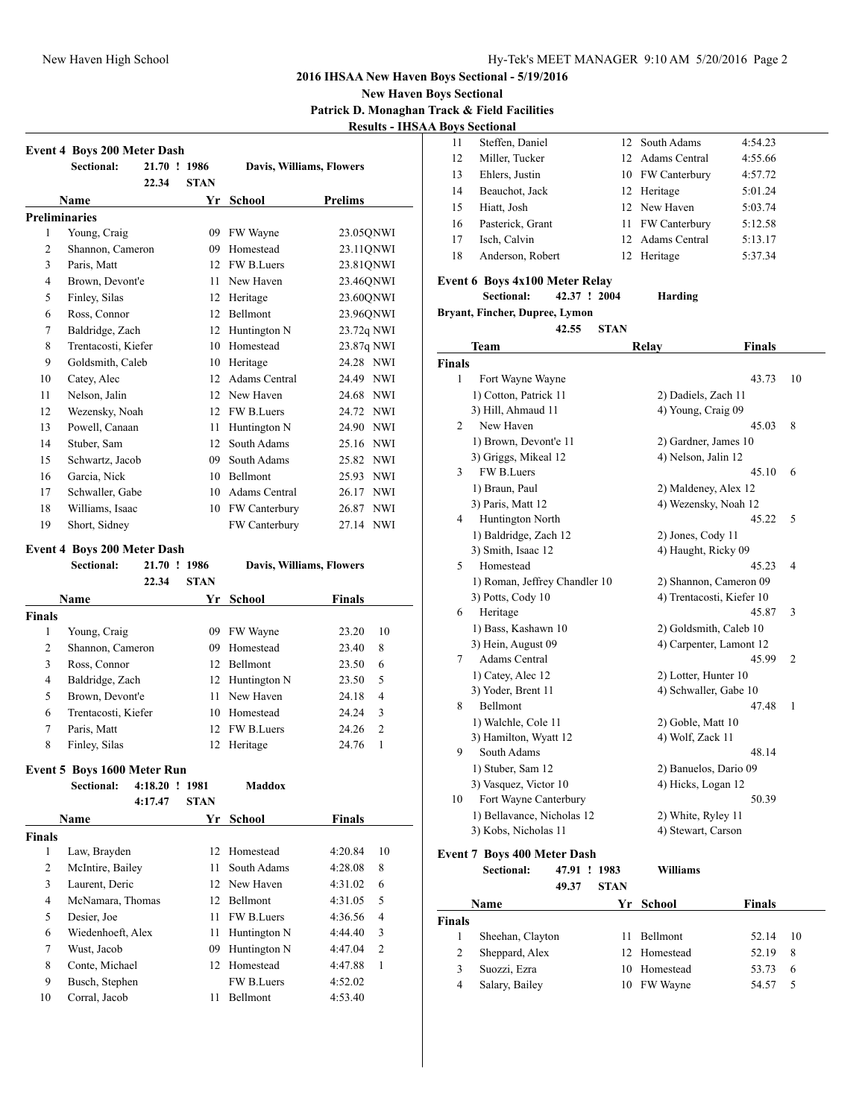**New Haven Boys Sectional Patrick D. Monaghan Track & Field Facilities Results - IHSAA Boys Sectional**

|                | Sectional:           | 21.70 ! 1986 |             | Davis, Williams, Flowers |                     |  |
|----------------|----------------------|--------------|-------------|--------------------------|---------------------|--|
|                |                      | 22.34        | <b>STAN</b> |                          |                     |  |
|                | Name                 |              | Yr          | <b>School</b>            | <b>Prelims</b>      |  |
|                | <b>Preliminaries</b> |              |             |                          |                     |  |
| 1              | Young, Craig         |              | 09          | FW Wayne                 | 23.05QNWI           |  |
| $\overline{c}$ | Shannon, Cameron     |              | 09          | Homestead                | 23.11QNWI           |  |
| 3              | Paris, Matt          |              | 12          | FW B.Luers               | 23.81QNWI           |  |
| $\overline{4}$ | Brown, Devont'e      |              | 11          | New Haven                | 23.46QNWI           |  |
| 5              | Finley, Silas        |              | 12          | Heritage                 | 23.60QNWI           |  |
| 6              | Ross, Connor         |              | 12          | <b>Bellmont</b>          | 23.96QNWI           |  |
| 7              | Baldridge, Zach      |              | 12          | Huntington N             | 23.72q NWI          |  |
| 8              | Trentacosti, Kiefer  |              | 10          | Homestead                | 23.87q NWI          |  |
| 9              | Goldsmith, Caleb     |              | 10          | Heritage                 | 24.28 NWI           |  |
| 10             | Catey, Alec          |              | 12          | Adams Central            | 24.49 NWI           |  |
| 11             | Nelson, Jalin        |              | 12          | New Haven                | <b>NWI</b><br>24.68 |  |
| 12             | Wezensky, Noah       |              | 12          | FW B.Luers               | 24.72<br><b>NWI</b> |  |
| 13             | Powell, Canaan       |              | 11          | Huntington N             | 24.90 NWI           |  |
| 14             | Stuber, Sam          |              | 12          | South Adams              | 25.16 NWI           |  |
| 15             | Schwartz, Jacob      |              | 09          | South Adams              | 25.82 NWI           |  |
| 16             | Garcia, Nick         |              | 10          | Bellmont                 | <b>NWI</b><br>25.93 |  |
| 17             | Schwaller, Gabe      |              | 10          | Adams Central            | <b>NWI</b><br>26.17 |  |
| 18             | Williams, Isaac      |              | 10          | FW Canterbury            | <b>NWI</b><br>26.87 |  |
| 19             | Short, Sidney        |              |             | FW Canterbury            | 27.14<br><b>NWI</b> |  |

### **Event 4 Boys 200 Meter Dash**

|               | <b>Sectional:</b>   | 21.70 ! 1986 |                 | Davis, Williams, Flowers |               |                |
|---------------|---------------------|--------------|-----------------|--------------------------|---------------|----------------|
|               |                     | 22.34        | <b>STAN</b>     |                          |               |                |
|               | <b>Name</b>         |              | Yr              | School                   | <b>Finals</b> |                |
| <b>Finals</b> |                     |              |                 |                          |               |                |
| 1             | Young, Craig        |              | 09              | FW Wayne                 | 23.20         | 10             |
| 2             | Shannon, Cameron    |              | 09              | Homestead                | 23.40         | 8              |
| 3             | Ross, Connor        |              | 12.             | <b>Bellmont</b>          | 23.50         | 6              |
| 4             | Baldridge, Zach     |              |                 | 12 Huntington N          | 23.50         | 5              |
| 5             | Brown, Devont'e     |              | 11              | New Haven                | 24.18         | $\overline{4}$ |
| 6             | Trentacosti, Kiefer |              | 10              | Homestead                | 24.24         | 3              |
| 7             | Paris, Matt         |              | 12 <sub>1</sub> | <b>FW B.Luers</b>        | 24.26         | $\overline{2}$ |
| 8             | Finley, Silas       |              | 12              | Heritage                 | 24.76         | 1              |
|               |                     |              |                 |                          |               |                |

### **Event 5 Boys 1600 Meter Run**

|        | Sectional:        | 4:18.20 | $\mathbf{I}$ | 1981        | Maddox            |               |                |
|--------|-------------------|---------|--------------|-------------|-------------------|---------------|----------------|
|        |                   | 4:17.47 |              | <b>STAN</b> |                   |               |                |
|        | <b>Name</b>       |         |              | Yr          | School            | <b>Finals</b> |                |
| Finals |                   |         |              |             |                   |               |                |
| 1      | Law, Brayden      |         |              | 12          | Homestead         | 4:20.84       | 10             |
| 2      | McIntire, Bailey  |         |              | 11          | South Adams       | 4:28.08       | 8              |
| 3      | Laurent, Deric    |         |              |             | 12 New Haven      | 4:31.02       | 6              |
| 4      | McNamara, Thomas  |         |              | 12          | Bellmont          | 4:31.05       | 5              |
| 5      | Desier, Joe       |         |              | 11          | FW B.Luers        | 4:36.56       | $\overline{4}$ |
| 6      | Wiedenhoeft, Alex |         |              | 11          | Huntington N      | 4:44.40       | 3              |
| 7      | Wust, Jacob       |         |              | 09          | Huntington N      | 4:47.04       | 2              |
| 8      | Conte, Michael    |         |              | 12          | Homestead         | 4:47.88       | 1              |
| 9      | Busch, Stephen    |         |              |             | <b>FW B.Luers</b> | 4:52.02       |                |
| 10     | Corral, Jacob     |         |              | 11          | Bellmont          | 4:53.40       |                |
|        |                   |         |              |             |                   |               |                |

| 11 | Steffen, Daniel  | 12 South Adams   | 4:54.23 |
|----|------------------|------------------|---------|
| 12 | Miller, Tucker   | 12 Adams Central | 4:55.66 |
| 13 | Ehlers, Justin   | 10 FW Canterbury | 4:57.72 |
| 14 | Beauchot, Jack   | 12 Heritage      | 5:01.24 |
| 15 | Hiatt, Josh      | 12 New Haven     | 5:03.74 |
| 16 | Pasterick, Grant | 11 FW Canterbury | 5:12.58 |
| 17 | Isch, Calvin     | 12 Adams Central | 5:13.17 |
| 18 | Anderson, Robert | Heritage         | 5:37.34 |
|    |                  |                  |         |

### **Event 6 Boys 4x100 Meter Relay**

#### **Sectional: 42.37 ! 2004 Harding**

**Bryant, Fincher, Dupree, Lymon**

**42.55 STAN**

|               | Team                          | Relay                     | <b>Finals</b> |                |
|---------------|-------------------------------|---------------------------|---------------|----------------|
| <b>Finals</b> |                               |                           |               |                |
| 1             | Fort Wayne Wayne              |                           | 43.73         | 10             |
|               | 1) Cotton, Patrick 11         | 2) Dadiels, Zach 11       |               |                |
|               | 3) Hill, Ahmaud 11            | 4) Young, Craig 09        |               |                |
| 2             | New Haven                     |                           | 45.03         | 8              |
|               | 1) Brown, Devont'e 11         | 2) Gardner, James 10      |               |                |
|               | 3) Griggs, Mikeal 12          | 4) Nelson, Jalin 12       |               |                |
| 3             | FW B.Luers                    |                           | 45.10         | 6              |
|               | 1) Braun, Paul                | 2) Maldeney, Alex 12      |               |                |
|               | 3) Paris, Matt 12             | 4) Wezensky, Noah 12      |               |                |
| 4             | Huntington North              |                           | 45.22         | 5              |
|               | 1) Baldridge, Zach 12         | 2) Jones, Cody 11         |               |                |
|               | 3) Smith, Isaac 12            | 4) Haught, Ricky 09       |               |                |
| 5             | Homestead                     |                           | 45.23         | 4              |
|               | 1) Roman, Jeffrey Chandler 10 | 2) Shannon, Cameron 09    |               |                |
|               | 3) Potts, Cody 10             | 4) Trentacosti, Kiefer 10 |               |                |
| 6             | Heritage                      |                           | 45.87         | 3              |
|               | 1) Bass, Kashawn 10           | 2) Goldsmith, Caleb 10    |               |                |
|               | 3) Hein, August 09            | 4) Carpenter, Lamont 12   |               |                |
| 7             | <b>Adams Central</b>          |                           | 45.99         | $\overline{2}$ |
|               | 1) Catey, Alec 12             | 2) Lotter, Hunter 10      |               |                |
|               | 3) Yoder, Brent 11            | 4) Schwaller, Gabe 10     |               |                |
| 8             | Bellmont                      |                           | 47.48         | 1              |
|               | 1) Walchle, Cole 11           | 2) Goble, Matt 10         |               |                |
|               | 3) Hamilton, Wyatt 12         | 4) Wolf, Zack 11          |               |                |
| 9             | South Adams                   |                           | 48.14         |                |
|               | 1) Stuber, Sam 12             | 2) Banuelos, Dario 09     |               |                |
|               | 3) Vasquez, Victor 10         | 4) Hicks, Logan 12        |               |                |
| 10            | Fort Wayne Canterbury         |                           | 50.39         |                |
|               | 1) Bellavance, Nicholas 12    | 2) White, Ryley 11        |               |                |
|               | 3) Kobs, Nicholas 11          | 4) Stewart, Carson        |               |                |
|               |                               |                           |               |                |

# **Event 7 Boys 400 Meter Dash**

| $L$ , ent $L$ boys too meet basii |       |                                                      |              |                                                |    |  |  |  |  |
|-----------------------------------|-------|------------------------------------------------------|--------------|------------------------------------------------|----|--|--|--|--|
| Sectional:                        |       |                                                      | Williams     |                                                |    |  |  |  |  |
|                                   | 49.37 | <b>STAN</b>                                          |              |                                                |    |  |  |  |  |
| Name                              |       |                                                      | School       | <b>Finals</b>                                  |    |  |  |  |  |
|                                   |       |                                                      |              |                                                |    |  |  |  |  |
|                                   |       | 11.                                                  | Bellmont     | 52.14                                          | 10 |  |  |  |  |
|                                   |       |                                                      |              | 52.19                                          | 8  |  |  |  |  |
| Suozzi, Ezra                      |       | 10                                                   |              | 53.73                                          | 6  |  |  |  |  |
|                                   |       |                                                      |              | 54.57                                          |    |  |  |  |  |
|                                   |       | Sheehan, Clayton<br>Sheppard, Alex<br>Salary, Bailey | 47.91 ! 1983 | Yr<br>12 Homestead<br>Homestead<br>10 FW Wayne |    |  |  |  |  |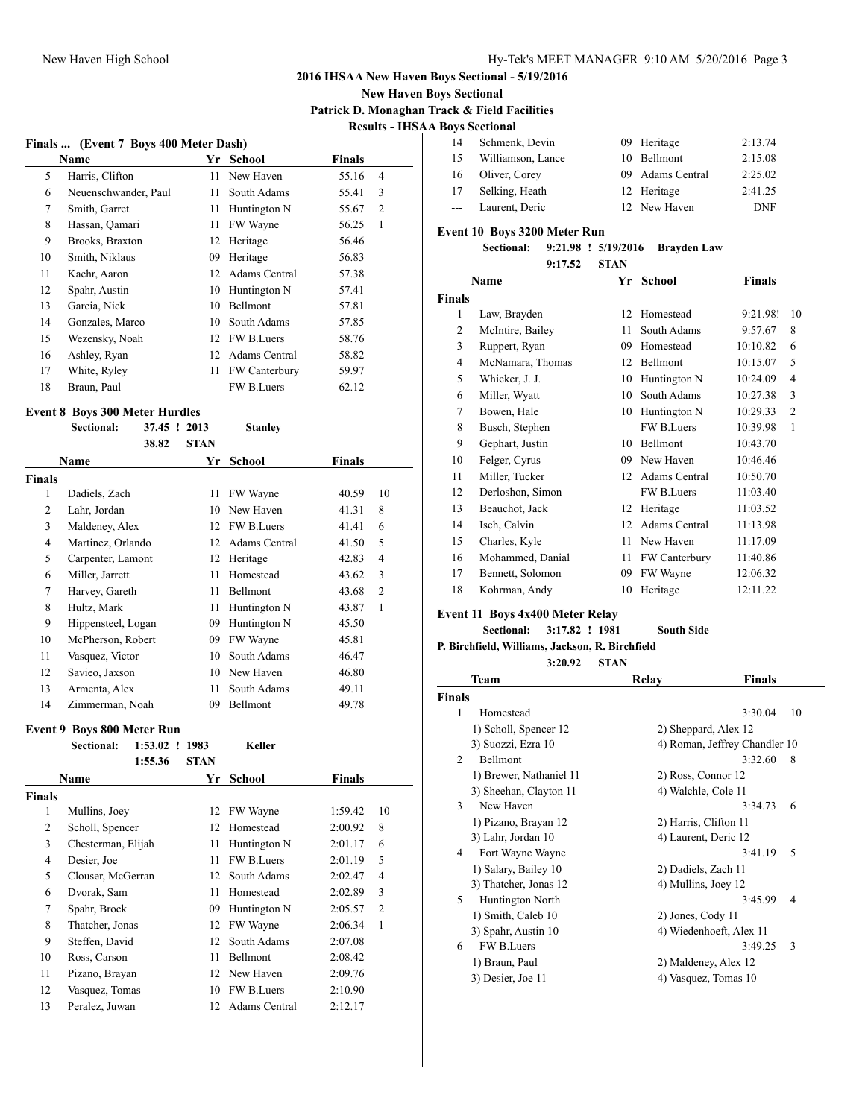#### New Haven High School New Haven High School Hy-Tek's MEET MANAGER 9:10 AM 5/20/2016 Page 3

### **2016 IHSAA New Haven Boys Sectional - 5/19/2016**

#### **New Haven Boys Sectional Patrick D. Monaghan Track & Field Facilities Results - IHSAA Boys Sectional**

| Finals  (Event 7 Boys 400 Meter Dash) |                      |    |                      |       |                |  |  |
|---------------------------------------|----------------------|----|----------------------|-------|----------------|--|--|
| <b>Finals</b><br>School<br>Name<br>Yr |                      |    |                      |       |                |  |  |
| 5                                     | Harris, Clifton      | 11 | New Haven            | 55.16 | $\overline{4}$ |  |  |
| 6                                     | Neuenschwander, Paul | 11 | South Adams          | 55.41 | 3              |  |  |
| 7                                     | Smith, Garret        | 11 | Huntington N         | 55.67 | $\overline{c}$ |  |  |
| 8                                     | Hassan, Qamari       | 11 | FW Wayne             | 56.25 | 1              |  |  |
| 9                                     | Brooks, Braxton      | 12 | Heritage             | 56.46 |                |  |  |
| 10                                    | Smith, Niklaus       | 09 | Heritage             | 56.83 |                |  |  |
| 11                                    | Kaehr, Aaron         | 12 | Adams Central        | 57.38 |                |  |  |
| 12                                    | Spahr, Austin        | 10 | Huntington N         | 57.41 |                |  |  |
| 13                                    | Garcia, Nick         | 10 | Bellmont             | 57.81 |                |  |  |
| 14                                    | Gonzales, Marco      | 10 | South Adams          | 57.85 |                |  |  |
| 15                                    | Wezensky, Noah       | 12 | FW B.Luers           | 58.76 |                |  |  |
| 16                                    | Ashley, Ryan         | 12 | Adams Central        | 58.82 |                |  |  |
| 17                                    | White, Ryley         | 11 | <b>FW Canterbury</b> | 59.97 |                |  |  |
| 18                                    | Braun, Paul          |    | <b>FW B.Luers</b>    | 62.12 |                |  |  |

### **Event 8 Boys 300 Meter Hurdles**

|               | Sectional:         | 37.45 ! | 2013        | <b>Stanley</b>    |        |                |
|---------------|--------------------|---------|-------------|-------------------|--------|----------------|
|               |                    | 38.82   | <b>STAN</b> |                   |        |                |
|               | <b>Name</b>        |         | Yr          | School            | Finals |                |
| <b>Finals</b> |                    |         |             |                   |        |                |
| 1             | Dadiels, Zach      |         | 11          | FW Wayne          | 40.59  | 10             |
| 2             | Lahr, Jordan       |         | 10          | New Haven         | 41.31  | 8              |
| 3             | Maldeney, Alex     |         | 12          | <b>FW B.Luers</b> | 41.41  | 6              |
| 4             | Martinez, Orlando  |         | 12          | Adams Central     | 41.50  | 5              |
| 5             | Carpenter, Lamont  |         | 12          | Heritage          | 42.83  | $\overline{4}$ |
| 6             | Miller, Jarrett    |         | 11          | Homestead         | 43.62  | 3              |
| 7             | Harvey, Gareth     |         | 11          | Bellmont          | 43.68  | $\overline{2}$ |
| 8             | Hultz, Mark        |         | 11          | Huntington N      | 43.87  | 1              |
| 9             | Hippensteel, Logan |         | 09          | Huntington N      | 45.50  |                |
| 10            | McPherson, Robert  |         | 09          | FW Wayne          | 45.81  |                |
| 11            | Vasquez, Victor    |         | 10          | South Adams       | 46.47  |                |
| 12            | Savieo, Jaxson     |         | 10          | New Haven         | 46.80  |                |
| 13            | Armenta, Alex      |         | 11          | South Adams       | 49.11  |                |
| 14            | Zimmerman, Noah    |         | 09          | Bellmont          | 49.78  |                |

#### **Event 9 Boys 800 Meter Run**

| <b>Sectional:</b> |         | 1983                                                                                                                                                                                                                  |                   |               |                       |
|-------------------|---------|-----------------------------------------------------------------------------------------------------------------------------------------------------------------------------------------------------------------------|-------------------|---------------|-----------------------|
|                   | 1:55.36 | <b>STAN</b>                                                                                                                                                                                                           |                   |               |                       |
| Name              |         | Yr                                                                                                                                                                                                                    | School            | <b>Finals</b> |                       |
|                   |         |                                                                                                                                                                                                                       |                   |               |                       |
|                   |         | 12                                                                                                                                                                                                                    | FW Wayne          | 1:59.42       | 10                    |
|                   |         | 12                                                                                                                                                                                                                    | Homestead         | 2:00.92       | 8                     |
|                   |         | 11                                                                                                                                                                                                                    | Huntington N      | 2:01.17       | 6                     |
| Desier, Joe       |         | 11                                                                                                                                                                                                                    | FW B.Luers        | 2:01.19       | 5                     |
|                   |         | 12                                                                                                                                                                                                                    | South Adams       | 2:02.47       | 4                     |
|                   |         | 11                                                                                                                                                                                                                    | Homestead         | 2:02.89       | 3                     |
|                   |         | 09                                                                                                                                                                                                                    | Huntington N      | 2:05.57       | 2                     |
|                   |         | 12                                                                                                                                                                                                                    | FW Wayne          | 2:06.34       | 1                     |
|                   |         | 12                                                                                                                                                                                                                    | South Adams       | 2:07.08       |                       |
|                   |         | 11                                                                                                                                                                                                                    | Bellmont          | 2:08.42       |                       |
|                   |         |                                                                                                                                                                                                                       |                   | 2:09.76       |                       |
|                   |         | 10                                                                                                                                                                                                                    | <b>FW B.Luers</b> | 2:10.90       |                       |
|                   |         | 12                                                                                                                                                                                                                    | Adams Central     | 2:12.17       |                       |
|                   |         | Mullins, Joey<br>Scholl, Spencer<br>Chesterman, Elijah<br>Clouser, McGerran<br>Dvorak, Sam<br>Spahr, Brock<br>Thatcher, Jonas<br>Steffen, David<br>Ross, Carson<br>Pizano, Brayan<br>Vasquez, Tomas<br>Peralez, Juwan |                   | 12 New Haven  | $1:53.02$ !<br>Keller |

| 14    | Schmenk, Devin    | 09 Heritage      | 2:13.74    |
|-------|-------------------|------------------|------------|
| 15    | Williamson, Lance | 10 Bellmont      | 2:15.08    |
| 16    | Oliver, Corey     | 09 Adams Central | 2:25.02    |
| 17    | Selking, Heath    | 12 Heritage      | 2:41.25    |
| $---$ | Laurent, Deric    | 12 New Haven     | <b>DNF</b> |

### **Event 10 Boys 3200 Meter Run**

**Sectional: 9:21.98 ! 5/19/2016 Brayden Law 9:17.52 STAN**

|               | 2.11.JA          | <b>DIAN</b> |                   |               |                |
|---------------|------------------|-------------|-------------------|---------------|----------------|
| Name          |                  | Yr          | School            | <b>Finals</b> |                |
| <b>Finals</b> |                  |             |                   |               |                |
| 1             | Law, Brayden     | 12          | Homestead         | 9:21.98!      | 10             |
| 2             | McIntire, Bailey | 11          | South Adams       | 9:57.67       | 8              |
| 3             | Ruppert, Ryan    | 09          | Homestead         | 10:10.82      | 6              |
| 4             | McNamara, Thomas | 12          | Bellmont          | 10:15.07      | 5              |
| 5             | Whicker, J. J.   | 10          | Huntington N      | 10:24.09      | 4              |
| 6             | Miller, Wyatt    | 10          | South Adams       | 10:27.38      | 3              |
| 7             | Bowen, Hale      | 10          | Huntington N      | 10:29.33      | $\overline{c}$ |
| 8             | Busch, Stephen   |             | <b>FW B.Luers</b> | 10:39.98      | 1              |
| 9             | Gephart, Justin  | 10          | <b>Bellmont</b>   | 10:43.70      |                |
| 10            | Felger, Cyrus    | 09          | New Haven         | 10:46.46      |                |
| 11            | Miller, Tucker   | 12          | Adams Central     | 10:50.70      |                |
| 12            | Derloshon, Simon |             | <b>FW B.Luers</b> | 11:03.40      |                |

| 13 | Beauchot, Jack   | 12 Heritage      | 11:03.52 |
|----|------------------|------------------|----------|
| 14 | Isch, Calvin     | 12 Adams Central | 11:13.98 |
| 15 | Charles, Kyle    | 11 New Haven     | 11:17.09 |
| 16 | Mohammed, Danial | 11 FW Canterbury | 11:40.86 |
| 17 | Bennett, Solomon | 09 FW Wayne      | 12:06.32 |
| 18 | Kohrman, Andy    | 10 Heritage      | 12:11.22 |

# **Event 11 Boys 4x400 Meter Relay**

**Sectional: 3:17.82 ! 1981 South Side**

**P. Birchfield, Williams, Jackson, R. Birchfield**

**3:20.92 STAN**

|        | Team                    | Relay                   | Finals                        |  |
|--------|-------------------------|-------------------------|-------------------------------|--|
| Finals |                         |                         |                               |  |
| 1      | Homestead               |                         | 3:30.04<br>10                 |  |
|        | 1) Scholl, Spencer 12   | 2) Sheppard, Alex 12    |                               |  |
|        | 3) Suozzi, Ezra 10      |                         | 4) Roman, Jeffrey Chandler 10 |  |
| 2      | Bellmont                |                         | 3:32.60<br>8                  |  |
|        | 1) Brewer, Nathaniel 11 | 2) Ross, Connor 12      |                               |  |
|        | 3) Sheehan, Clayton 11  | 4) Walchle, Cole 11     |                               |  |
| 3      | New Haven               |                         | 3:34.73<br>6                  |  |
|        | 1) Pizano, Brayan 12    | 2) Harris, Clifton 11   |                               |  |
|        | 3) Lahr, Jordan 10      | 4) Laurent, Deric 12    |                               |  |
| 4      | Fort Wayne Wayne        |                         | 3:41.19<br>5                  |  |
|        | 1) Salary, Bailey 10    | 2) Dadiels, Zach 11     |                               |  |
|        | 3) Thatcher, Jonas 12   | 4) Mullins, Joey 12     |                               |  |
| 5      | Huntington North        |                         | 3:45.99<br>4                  |  |
|        | 1) Smith, Caleb 10      | 2) Jones, Cody 11       |                               |  |
|        | 3) Spahr, Austin 10     | 4) Wiedenhoeft, Alex 11 |                               |  |
| 6      | <b>FW B.Luers</b>       |                         | 3:49.25<br>3                  |  |
|        | 1) Braun, Paul          | 2) Maldeney, Alex 12    |                               |  |
|        | 3) Desier, Joe 11       | 4) Vasquez, Tomas 10    |                               |  |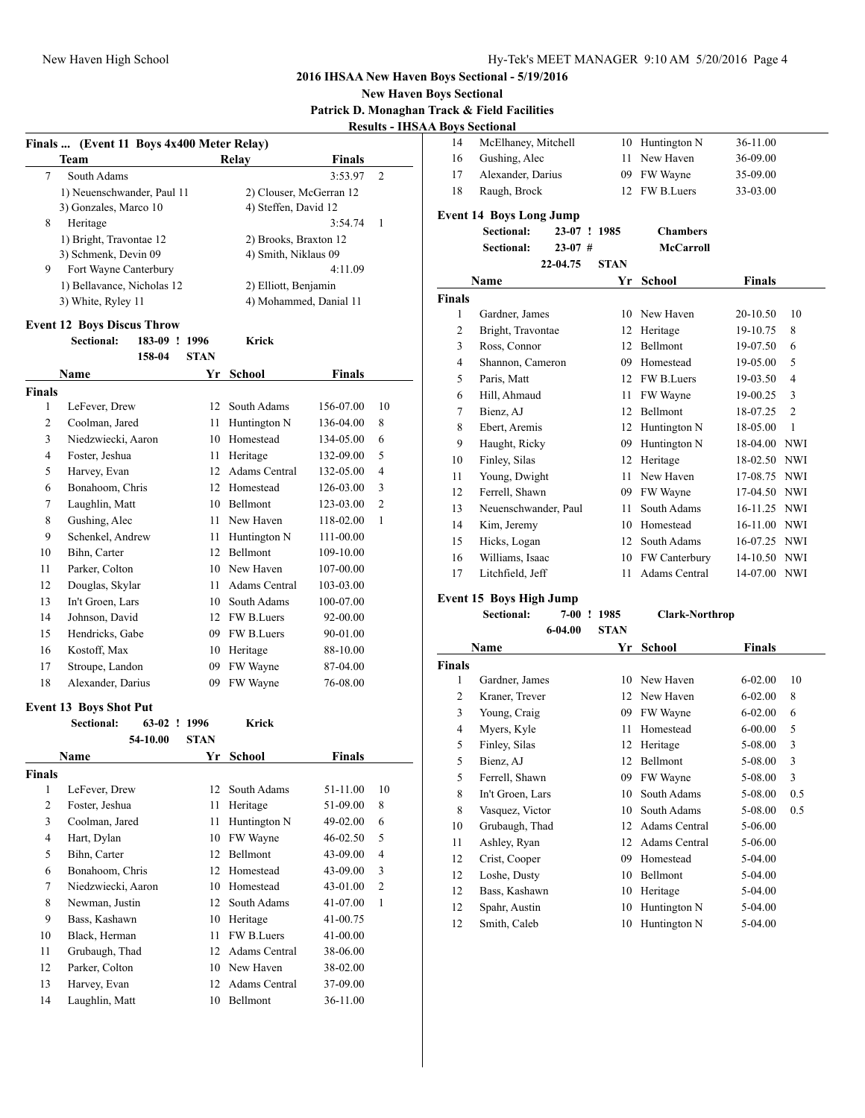### **New Haven Boys Sectional Patrick D. Monaghan Track & Field Facilities Results - IHSAA Boys Sectional**

| Finals  (Event 11 Boys 4x400 Meter Relay) |                                    |             |                         |               |              |  |
|-------------------------------------------|------------------------------------|-------------|-------------------------|---------------|--------------|--|
|                                           | Team                               |             | Relay                   | <b>Finals</b> |              |  |
| 7                                         | South Adams                        |             |                         | 3:53.97       | 2            |  |
|                                           | 1) Neuenschwander, Paul 11         |             | 2) Clouser, McGerran 12 |               |              |  |
|                                           | 3) Gonzales, Marco 10              |             | 4) Steffen, David 12    |               |              |  |
| 8                                         | Heritage                           |             |                         | 3:54.74       | 1            |  |
|                                           | 1) Bright, Travontae 12            |             | 2) Brooks, Braxton 12   |               |              |  |
|                                           | 3) Schmenk, Devin 09               |             | 4) Smith, Niklaus 09    |               |              |  |
| 9                                         | Fort Wayne Canterbury              |             |                         | 4:11.09       |              |  |
|                                           | 1) Bellavance, Nicholas 12         |             | 2) Elliott, Benjamin    |               |              |  |
|                                           | 3) White, Ryley 11                 |             | 4) Mohammed, Danial 11  |               |              |  |
|                                           | <b>Event 12 Boys Discus Throw</b>  |             |                         |               |              |  |
|                                           | <b>Sectional:</b><br>183-09 ! 1996 |             | Krick                   |               |              |  |
|                                           | 158-04                             | <b>STAN</b> |                         |               |              |  |
|                                           | Name                               | Yr          | School                  | Finals        |              |  |
| <b>Finals</b>                             |                                    |             |                         |               |              |  |
| 1                                         | LeFever, Drew                      | 12          | South Adams             | 156-07.00     | 10           |  |
| 2                                         | Coolman, Jared                     | 11          | Huntington N            | 136-04.00     | 8            |  |
| 3                                         | Niedzwiecki, Aaron                 |             | 10 Homestead            | 134-05.00     | 6            |  |
| 4                                         | Foster, Jeshua                     | 11          | Heritage                | 132-09.00     | 5            |  |
| 5                                         | Harvey, Evan                       |             | 12 Adams Central        | 132-05.00     | 4            |  |
| 6                                         | Bonahoom, Chris                    |             | 12 Homestead            | 126-03.00     | 3            |  |
| 7                                         | Laughlin, Matt                     |             | 10 Bellmont             | 123-03.00     | 2            |  |
| 8                                         | Gushing, Alec                      | 11 -        | New Haven               | 118-02.00     | 1            |  |
| 9                                         | Schenkel, Andrew                   | 11 -        | Huntington N            | 111-00.00     |              |  |
| 10                                        | Bihn, Carter                       |             | 12 Bellmont             | 109-10.00     |              |  |
| 11                                        | Parker, Colton                     |             | 10 New Haven            | 107-00.00     |              |  |
| 12                                        | Douglas, Skylar                    | 11 -        | Adams Central           | 103-03.00     |              |  |
| 13                                        | In't Groen, Lars                   |             | 10 South Adams          | 100-07.00     |              |  |
| 14                                        | Johnson, David                     |             | 12 FW B.Luers           | 92-00.00      |              |  |
| 15                                        | Hendricks, Gabe                    |             | 09 FW B.Luers           | 90-01.00      |              |  |
| 16                                        | Kostoff, Max                       |             | 10 Heritage             | 88-10.00      |              |  |
| 17                                        | Stroupe, Landon                    | 09          | FW Wayne                | 87-04.00      |              |  |
| 18                                        | Alexander, Darius                  | 09          | FW Wayne                | 76-08.00      |              |  |
|                                           |                                    |             |                         |               |              |  |
|                                           | <b>Event 13 Boys Shot Put</b>      |             |                         |               |              |  |
|                                           | <b>Sectional:</b><br>63-02 ! 1996  |             | Krick                   |               |              |  |
|                                           | 54-10.00                           | <b>STAN</b> |                         |               |              |  |
|                                           | Name                               | Yr          | <b>School</b>           | Finals        |              |  |
| Finals                                    |                                    |             |                         |               |              |  |
| 1                                         | LeFever, Drew                      |             | 12 South Adams          | 51-11.00      | 10           |  |
| $\overline{2}$                            | Foster, Jeshua                     | 11          | Heritage                | 51-09.00      | 8            |  |
| 3                                         | Coolman, Jared                     | 11          | Huntington N            | 49-02.00      | 6            |  |
| 4                                         | Hart, Dylan                        | 10          | FW Wayne                | 46-02.50      | 5            |  |
| 5                                         | Bihn, Carter                       | 12          | Bellmont                | 43-09.00      | 4            |  |
| 6                                         | Bonahoom, Chris                    | 12          | Homestead               | 43-09.00      | 3            |  |
| 7                                         | Niedzwiecki, Aaron                 |             | 10 Homestead            | 43-01.00      | 2            |  |
| 8                                         | Newman, Justin                     | 12          | South Adams             | 41-07.00      | $\mathbf{1}$ |  |
| 9                                         | Bass, Kashawn                      | 10          | Heritage                | 41-00.75      |              |  |
| 10                                        | Black, Herman                      | 11          | FW B.Luers              | 41-00.00      |              |  |
| 11                                        | Grubaugh, Thad                     | 12          | <b>Adams Central</b>    | 38-06.00      |              |  |
| 12                                        | Parker, Colton                     |             | 10 New Haven            | 38-02.00      |              |  |
| 13                                        | Harvey, Evan                       | 12          | Adams Central           | 37-09.00      |              |  |
| 14                                        | Laughlin, Matt                     | 10          | Bellmont                | 36-11.00      |              |  |

| 14             | McElhaney, Mitchell            | 10          | Huntington N         | 36-11.00      |                |
|----------------|--------------------------------|-------------|----------------------|---------------|----------------|
| 16             | Gushing, Alec                  | 11          | New Haven            | 36-09.00      |                |
| 17             | Alexander, Darius              | 09          | FW Wayne             | 35-09.00      |                |
| 18             | Raugh, Brock                   | 12          | FW B.Luers           | 33-03.00      |                |
|                | <b>Event 14 Boys Long Jump</b> |             |                      |               |                |
|                | <b>Sectional:</b><br>$23-07$ ! | 1985        | <b>Chambers</b>      |               |                |
|                | <b>Sectional:</b><br>$23-07$ # |             | <b>McCarroll</b>     |               |                |
|                | 22-04.75                       | <b>STAN</b> |                      |               |                |
|                | Name                           | Yr          | <b>School</b>        | <b>Finals</b> |                |
| <b>Finals</b>  |                                |             |                      |               |                |
| 1              | Gardner, James                 | 10          | New Haven            | 20-10.50      | 10             |
| $\overline{2}$ | Bright, Travontae              | 12          | Heritage             | 19-10.75      | 8              |
| 3              | Ross, Connor                   | 12          | <b>Bellmont</b>      | 19-07.50      | 6              |
| $\overline{4}$ | Shannon, Cameron               | 09          | Homestead            | 19-05.00      | 5              |
| 5              | Paris, Matt                    | 12          | FW B.Luers           | 19-03.50      | 4              |
| 6              | Hill, Ahmaud                   | 11          | FW Wayne             | 19-00.25      | 3              |
| $\tau$         | Bienz, AJ                      | 12          | Bellmont             | 18-07.25      | $\overline{c}$ |
| 8              | Ebert, Aremis                  | 12          | Huntington N         | 18-05.00      | 1              |
| 9              | Haught, Ricky                  | 09          | Huntington N         | 18-04.00      | <b>NWI</b>     |
| 10             | Finley, Silas                  | 12          | Heritage             | 18-02.50      | <b>NWI</b>     |
| 11             | Young, Dwight                  | 11          | New Haven            | 17-08.75      | <b>NWI</b>     |
| 12             | Ferrell, Shawn                 | 09          | FW Wayne             | 17-04.50      | <b>NWI</b>     |
| 13             | Neuenschwander, Paul           | 11          | South Adams          | 16-11.25      | <b>NWI</b>     |
| 14             | Kim, Jeremy                    | 10          | Homestead            | 16-11.00 NWI  |                |
| 15             | Hicks, Logan                   | 12          | South Adams          | 16-07.25 NWI  |                |
| 16             | Williams, Isaac                | 10          | FW Canterbury        | 14-10.50      | <b>NWI</b>     |
| 17             | Litchfield, Jeff               | 11          | <b>Adams Central</b> | 14-07.00      | <b>NWI</b>     |
|                | Fvent 15, Roys High Jumn       |             |                      |               |                |

### **Event 15 Boys High Jump**

| <b>Sectional:</b> |         | 7-00 ! 1985 |             | <b>Clark-Northrop</b> |  |  |
|-------------------|---------|-------------|-------------|-----------------------|--|--|
|                   | 6-04.00 |             | <b>STAN</b> |                       |  |  |
| Name              |         |             |             | Yr School             |  |  |
|                   |         |             |             |                       |  |  |
| Gardner, James    |         |             |             | 10 New Haven          |  |  |
|                   |         |             |             |                       |  |  |

| Finals |                  |    |               |             |     |
|--------|------------------|----|---------------|-------------|-----|
| 1      | Gardner, James   | 10 | New Haven     | $6 - 02.00$ | 10  |
| 2      | Kraner, Trever   |    | 12 New Haven  | $6 - 02.00$ | 8   |
| 3      | Young, Craig     | 09 | FW Wayne      | $6 - 02.00$ | 6   |
| 4      | Myers, Kyle      | 11 | Homestead     | $6 - 00.00$ | 5   |
| 5      | Finley, Silas    | 12 | Heritage      | 5-08.00     | 3   |
| 5      | Bienz, AJ        | 12 | Bellmont      | 5-08.00     | 3   |
| 5      | Ferrell, Shawn   | 09 | FW Wayne      | 5-08.00     | 3   |
| 8      | In't Groen, Lars | 10 | South Adams   | 5-08.00     | 0.5 |
| 8      | Vasquez, Victor  | 10 | South Adams   | 5-08.00     | 0.5 |
| 10     | Grubaugh, Thad   | 12 | Adams Central | 5-06.00     |     |
| 11     | Ashley, Ryan     | 12 | Adams Central | 5-06.00     |     |
| 12     | Crist, Cooper    | 09 | Homestead     | 5-04.00     |     |
| 12     | Loshe, Dusty     | 10 | Bellmont      | 5-04.00     |     |
| 12     | Bass, Kashawn    | 10 | Heritage      | 5-04.00     |     |
| 12     | Spahr, Austin    | 10 | Huntington N  | 5-04.00     |     |
| 12     | Smith, Caleb     | 10 | Huntington N  | 5-04.00     |     |

**Finals**